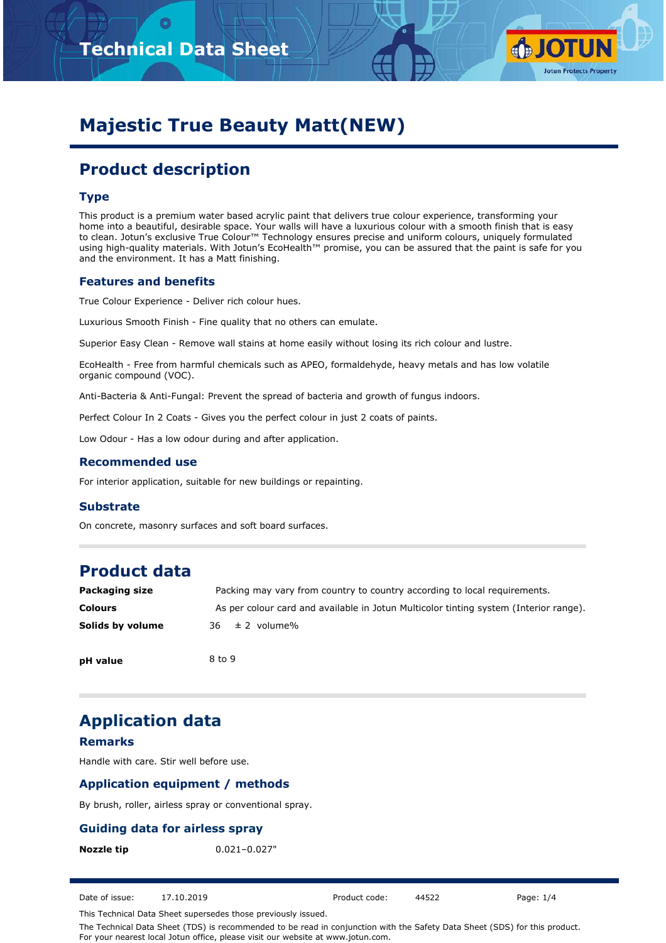



# **Majestic True Beauty Matt(NEW)**

# **Product description**

### **Type**

This product is a premium water based acrylic paint that delivers true colour experience, transforming your home into a beautiful, desirable space. Your walls will have a luxurious colour with a smooth finish that is easy to clean. Jotun's exclusive True Colour™ Technology ensures precise and uniform colours, uniquely formulated using high-quality materials. With Jotun's EcoHealth™ promise, you can be assured that the paint is safe for you and the environment. It has a Matt finishing.

#### **Features and benefits**

True Colour Experience - Deliver rich colour hues.

Luxurious Smooth Finish - Fine quality that no others can emulate.

Superior Easy Clean - Remove wall stains at home easily without losing its rich colour and lustre.

EcoHealth - Free from harmful chemicals such as APEO, formaldehyde, heavy metals and has low volatile organic compound (VOC).

Anti-Bacteria & Anti-Fungal: Prevent the spread of bacteria and growth of fungus indoors.

Perfect Colour In 2 Coats - Gives you the perfect colour in just 2 coats of paints.

Low Odour - Has a low odour during and after application.

#### **Recommended use**

For interior application, suitable for new buildings or repainting.

#### **Substrate**

On concrete, masonry surfaces and soft board surfaces.

# **Product data**

| Packaging size   | Packing may vary from country to country according to local requirements.             |
|------------------|---------------------------------------------------------------------------------------|
| <b>Colours</b>   | As per colour card and available in Jotun Multicolor tinting system (Interior range). |
| Solids by volume | $36 \pm 2$ volume%                                                                    |
| nH value         | 8 to 9                                                                                |

# **Application data**

#### **Remarks**

**pH value**

Handle with care. Stir well before use.

### **Application equipment / methods**

By brush, roller, airless spray or conventional spray.

### **Guiding data for airless spray**

**Nozzle tip** 0.021-0.027"

Date of issue: 17.10.2019 Product code: 44522 Page: 1/4

This Technical Data Sheet supersedes those previously issued.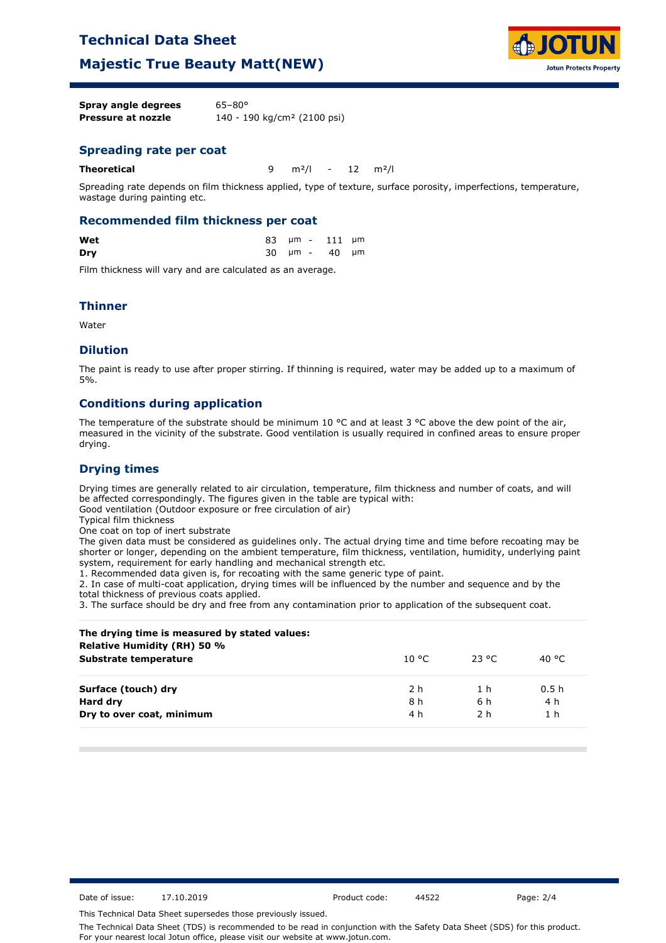## **Technical Data Sheet**

## **Majestic True Beauty Matt(NEW)**



| Spray angle degrees | $65 - 80^{\circ}$                       |
|---------------------|-----------------------------------------|
| Pressure at nozzle  | 140 - 190 kg/cm <sup>2</sup> (2100 psi) |

#### **Spreading rate per coat**

**Theoretical** 9 m²/l - 12 m²/l

Spreading rate depends on film thickness applied, type of texture, surface porosity, imperfections, temperature, wastage during painting etc.

#### **Recommended film thickness per coat**

| Wet |  | 83 µm - 111 µm |  |
|-----|--|----------------|--|
| Dry |  | 30 µm - 40 µm  |  |

Film thickness will vary and are calculated as an average.

#### **Thinner**

Water

#### **Dilution**

The paint is ready to use after proper stirring. If thinning is required, water may be added up to a maximum of 5%.

#### **Conditions during application**

The temperature of the substrate should be minimum 10 °C and at least 3 °C above the dew point of the air, measured in the vicinity of the substrate. Good ventilation is usually required in confined areas to ensure proper drying.

#### **Drying times**

Drying times are generally related to air circulation, temperature, film thickness and number of coats, and will be affected correspondingly. The figures given in the table are typical with:

Good ventilation (Outdoor exposure or free circulation of air)

Typical film thickness

One coat on top of inert substrate

The given data must be considered as guidelines only. The actual drying time and time before recoating may be shorter or longer, depending on the ambient temperature, film thickness, ventilation, humidity, underlying paint system, requirement for early handling and mechanical strength etc.

1. Recommended data given is, for recoating with the same generic type of paint.

2. In case of multi-coat application, drying times will be influenced by the number and sequence and by the total thickness of previous coats applied.

3. The surface should be dry and free from any contamination prior to application of the subsequent coat.

| The drying time is measured by stated values:<br>Relative Humidity (RH) 50 % |        |        |                |
|------------------------------------------------------------------------------|--------|--------|----------------|
| Substrate temperature                                                        | 10 °C. | -23 °C | 40 °C          |
| Surface (touch) dry                                                          | 2 h    | 1 h    | 0.5h           |
| Hard dry                                                                     | 8 h    | 6 h    | 4 h            |
| Dry to over coat, minimum                                                    | 4 h    | 2 h    | 1 <sub>h</sub> |

Date of issue: 17.10.2019 Product code: 44522 Page: 2/4

This Technical Data Sheet supersedes those previously issued.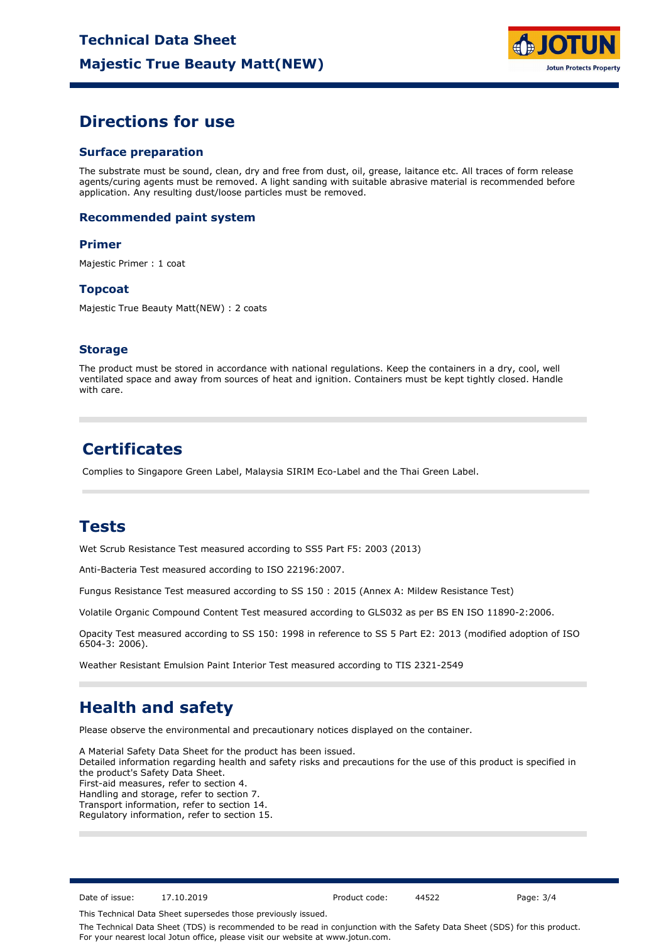

## **Directions for use**

#### **Surface preparation**

The substrate must be sound, clean, dry and free from dust, oil, grease, laitance etc. All traces of form release agents/curing agents must be removed. A light sanding with suitable abrasive material is recommended before application. Any resulting dust/loose particles must be removed.

#### **Recommended paint system**

#### **Primer**

Majestic Primer : 1 coat

#### **Topcoat**

Majestic True Beauty Matt(NEW) : 2 coats

#### **Storage**

The product must be stored in accordance with national regulations. Keep the containers in a dry, cool, well ventilated space and away from sources of heat and ignition. Containers must be kept tightly closed. Handle with care.

# **Certificates**

Complies to Singapore Green Label, Malaysia SIRIM Eco-Label and the Thai Green Label.

## **Tests**

Wet Scrub Resistance Test measured according to SS5 Part F5: 2003 (2013)

Anti-Bacteria Test measured according to ISO 22196:2007.

Fungus Resistance Test measured according to SS 150 : 2015 (Annex A: Mildew Resistance Test)

Volatile Organic Compound Content Test measured according to GLS032 as per BS EN ISO 11890-2:2006.

Opacity Test measured according to SS 150: 1998 in reference to SS 5 Part E2: 2013 (modified adoption of ISO 6504-3: 2006).

Weather Resistant Emulsion Paint Interior Test measured according to TIS 2321-2549

# **Health and safety**

Please observe the environmental and precautionary notices displayed on the container.

A Material Safety Data Sheet for the product has been issued. Detailed information regarding health and safety risks and precautions for the use of this product is specified in the product's Safety Data Sheet. First-aid measures, refer to section 4. Handling and storage, refer to section 7. Transport information, refer to section 14. Regulatory information, refer to section 15.

Date of issue: 17.10.2019 Product code: 44522 Page: 3/4

This Technical Data Sheet supersedes those previously issued.